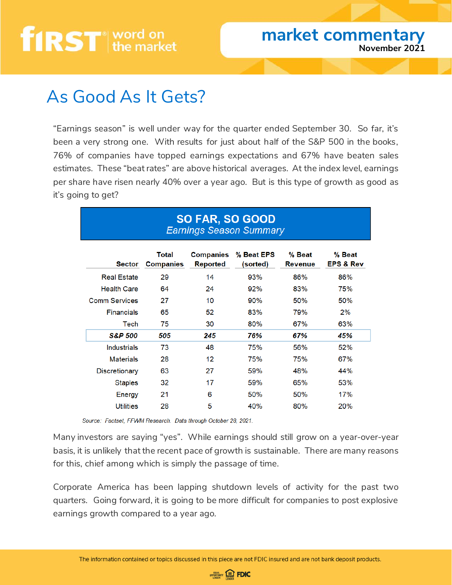#### **market commentary November 2021**

#### As Good As It Gets?

"Earnings season" is well under way for the quarter ended September 30. So far, it's been a very strong one. With results for just about half of the S&P 500 in the books, 76% of companies have topped earnings expectations and 67% have beaten sales estimates. These "beat rates" are above historical averages. At the index level, earnings per share have risen nearly 40% over a year ago. But is this type of growth as good as it's going to get?

#### **SO FAR. SO GOOD** Earnings Season Summary

| <b>Sector</b>        | Total<br><b>Companies</b> | <b>Companies</b><br><b>Reported</b> | % Beat EPS<br>(sorted) | % Beat<br><b>Revenue</b> | % Beat<br><b>EPS &amp; Rev</b> |
|----------------------|---------------------------|-------------------------------------|------------------------|--------------------------|--------------------------------|
| <b>Real Estate</b>   | 29                        | 14                                  | 93%                    | 86%                      | 86%                            |
| <b>Health Care</b>   | 64                        | 24                                  | 92%                    | 83%                      | 75%                            |
| <b>Comm Services</b> | 27                        | 10                                  | 90%                    | 50%                      | 50%                            |
| <b>Financials</b>    | 65                        | 52                                  | 83%                    | 79%                      | 2%                             |
| Tech                 | 75                        | 30                                  | 80%                    | 67%                      | 63%                            |
| <b>S&amp;P 500</b>   | 505                       | 245                                 | 76%                    | 67%                      | 45%                            |
| Industrials          | 73                        | 48                                  | 75%                    | 56%                      | 52%                            |
| <b>Materials</b>     | 28                        | 12                                  | 75%                    | 75%                      | 67%                            |
| Discretionary        | 63                        | 27                                  | 59%                    | 48%                      | 44%                            |
| <b>Staples</b>       | 32                        | 17                                  | 59%                    | 65%                      | 53%                            |
| Energy               | 21                        | 6                                   | 50%                    | 50%                      | 17%                            |
| <b>Utilities</b>     | 28                        | 5                                   | 40%                    | 80%                      | 20%                            |

Source: Factset, FFWM Research. Data through October 28, 2021.

Many investors are saying "yes". While earnings should still grow on a year-over-year basis, it is unlikely that the recent pace of growth is sustainable. There are many reasons for this, chief among which is simply the passage of time.

Corporate America has been lapping shutdown levels of activity for the past two quarters. Going forward, it is going to be more difficult for companies to post explosive earnings growth compared to a year ago.

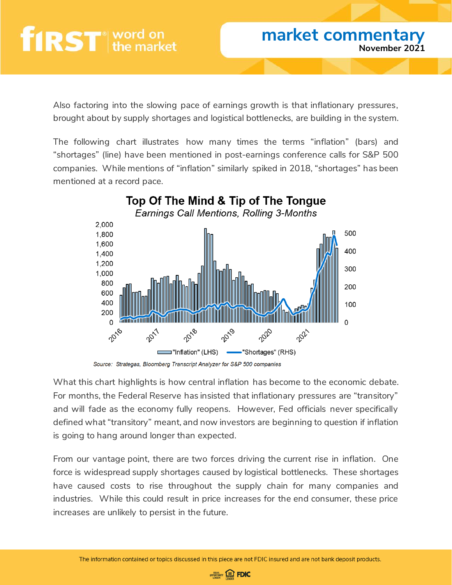Also factoring into the slowing pace of earnings growth is that inflationary pressures, brought about by supply shortages and logistical bottlenecks, are building in the system.

The following chart illustrates how many times the terms "inflation" (bars) and "shortages" (line) have been mentioned in post-earnings conference calls for S&P 500 companies. While mentions of "inflation" similarly spiked in 2018, "shortages" has been mentioned at a record pace.



Source: Strategas, Bloomberg Transcript Analyzer for S&P 500 companies

What this chart highlights is how central inflation has become to the economic debate. For months, the Federal Reserve has insisted that inflationary pressures are "transitory" and will fade as the economy fully reopens. However, Fed officials never specifically defined what "transitory" meant, and now investors are beginning to question if inflation is going to hang around longer than expected.

From our vantage point, there are two forces driving the current rise in inflation. One force is widespread supply shortages caused by logistical bottlenecks. These shortages have caused costs to rise throughout the supply chain for many companies and industries. While this could result in price increases for the end consumer, these price increases are unlikely to persist in the future.

The information contained or topics discussed in this piece are not FDIC insured and are not bank deposit products.

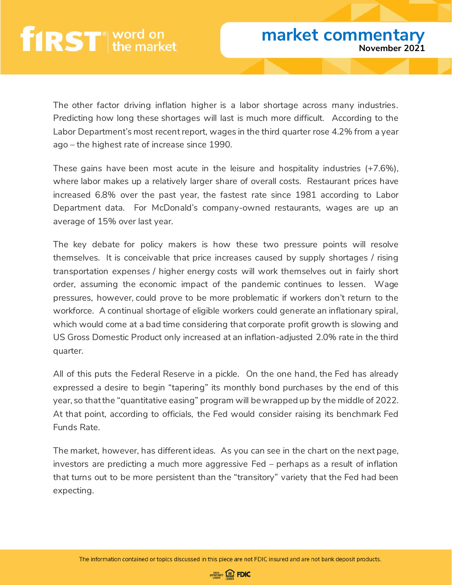The other factor driving inflation higher is a labor shortage across many industries. Predicting how long these shortages will last is much more difficult. According to the Labor Department's most recent report, wages in the third quarter rose 4.2% from a year ago – the highest rate of increase since 1990.

These gains have been most acute in the leisure and hospitality industries (+7.6%), where labor makes up a relatively larger share of overall costs. Restaurant prices have increased 6.8% over the past year, the fastest rate since 1981 according to Labor Department data. For McDonald's company-owned restaurants, wages are up an average of 15% over last year.

The key debate for policy makers is how these two pressure points will resolve themselves. It is conceivable that price increases caused by supply shortages / rising transportation expenses / higher energy costs will work themselves out in fairly short order, assuming the economic impact of the pandemic continues to lessen. Wage pressures, however, could prove to be more problematic if workers don't return to the workforce. A continual shortage of eligible workers could generate an inflationary spiral, which would come at a bad time considering that corporate profit growth is slowing and US Gross Domestic Product only increased at an inflation-adjusted 2.0% rate in the third quarter.

All of this puts the Federal Reserve in a pickle. On the one hand, the Fed has already expressed a desire to begin "tapering" its monthly bond purchases by the end of this year, so that the "quantitative easing" program will be wrapped up by the middle of 2022. At that point, according to officials, the Fed would consider raising its benchmark Fed Funds Rate.

The market, however, has different ideas. As you can see in the chart on the next page, investors are predicting a much more aggressive Fed – perhaps as a result of inflation that turns out to be more persistent than the "transitory" variety that the Fed had been expecting.

The information contained or topics discussed in this piece are not FDIC insured and are not bank deposit products.

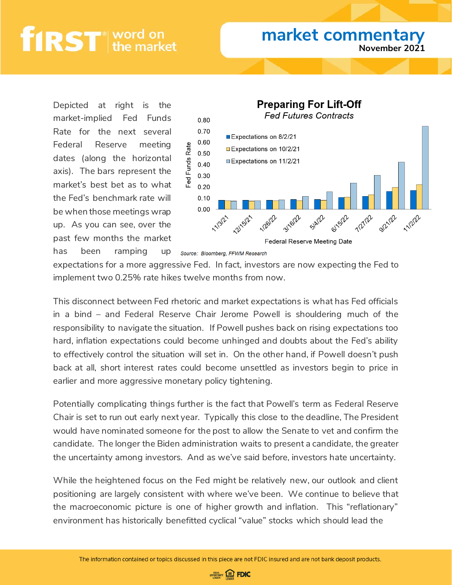# first word

#### **market commentary November 2021**

Depicted at right is the market-implied Fed Funds Rate for the next several Federal Reserve meeting dates (along the horizontal axis). The bars represent the market's best bet as to what the Fed's benchmark rate will be when those meetings wrap up. As you can see, over the past few months the market has been ramping up



expectations for a more aggressive Fed. In fact, investors are now expecting the Fed to implement two 0.25% rate hikes twelve months from now.

This disconnect between Fed rhetoric and market expectations is what has Fed officials in a bind – and Federal Reserve Chair Jerome Powell is shouldering much of the responsibility to navigate the situation. If Powell pushes back on rising expectations too hard, inflation expectations could become unhinged and doubts about the Fed's ability to effectively control the situation will set in. On the other hand, if Powell doesn't push back at all, short interest rates could become unsettled as investors begin to price in earlier and more aggressive monetary policy tightening.

Potentially complicating things further is the fact that Powell's term as Federal Reserve Chair is set to run out early next year. Typically this close to the deadline, The President would have nominated someone for the post to allow the Senate to vet and confirm the candidate. The longer the Biden administration waits to present a candidate, the greater the uncertainty among investors. And as we've said before, investors hate uncertainty.

While the heightened focus on the Fed might be relatively new, our outlook and client positioning are largely consistent with where we've been. We continue to believe that the macroeconomic picture is one of higher growth and inflation. This "reflationary" environment has historically benefitted cyclical "value" stocks which should lead the

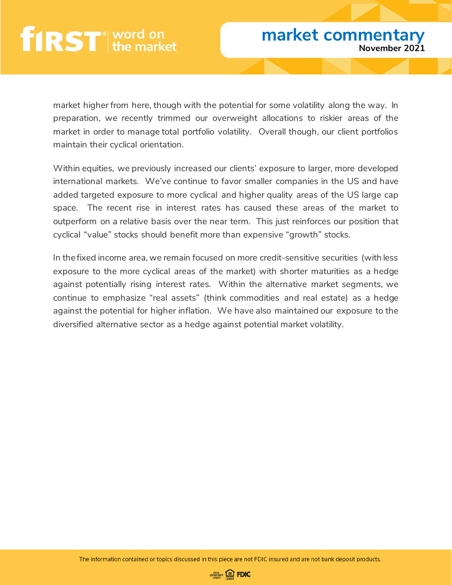market higher from here, though with the potential for some volatility along the way. In preparation, we recently trimmed our overweight allocations to riskier areas of the market in order to manage total portfolio volatility. Overall though, our client portfolios maintain their cyclical orientation.

Within equities, we previously increased our clients' exposure to larger, more developed international markets. We've continue to favor smaller companies in the US and have added targeted exposure to more cyclical and higher quality areas of the US large cap space. The recent rise in interest rates has caused these areas of the market to outperform on a relative basis over the near term. This just reinforces our position that cyclical "value" stocks should benefit more than expensive "growth" stocks.

In the fixed income area, we remain focused on more credit-sensitive securities (with less exposure to the more cyclical areas of the market) with shorter maturities as a hedge against potentially rising interest rates. Within the alternative market segments, we continue to emphasize "real assets" (think commodities and real estate) as a hedge against the potential for higher inflation. We have also maintained our exposure to the diversified alternative sector as a hedge against potential market volatility.